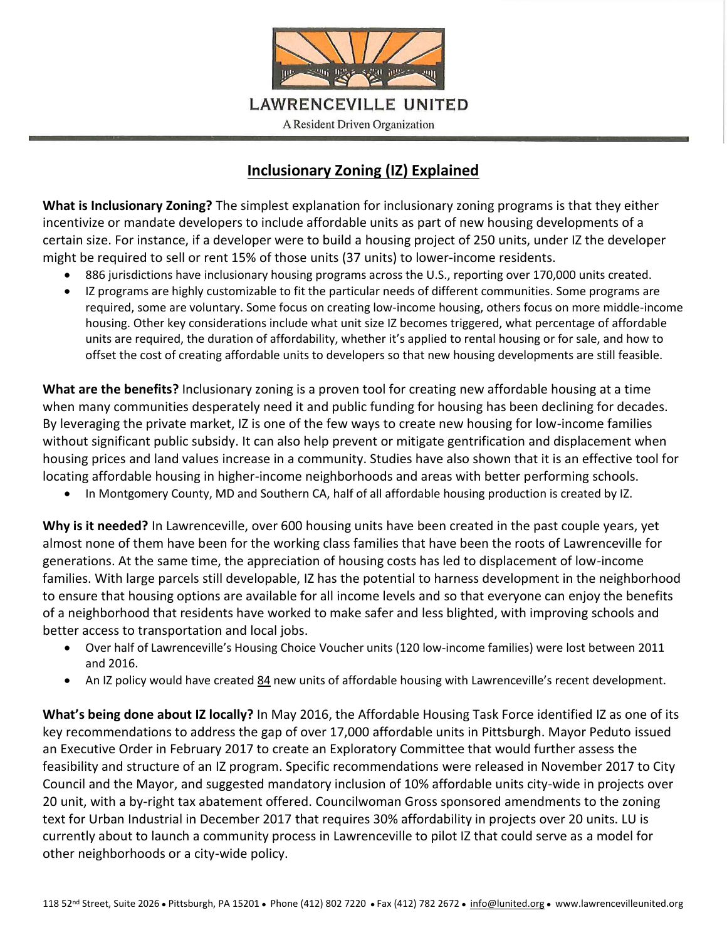

## **Inclusionary Zoning (IZ) Explained**

**What is Inclusionary Zoning?** The simplest explanation for inclusionary zoning programs is that they either incentivize or mandate developers to include affordable units as part of new housing developments of a certain size. For instance, if a developer were to build a housing project of 250 units, under IZ the developer might be required to sell or rent 15% of those units (37 units) to lower-income residents.

- 886 jurisdictions have inclusionary housing programs across the U.S., reporting over 170,000 units created.
- IZ programs are highly customizable to fit the particular needs of different communities. Some programs are required, some are voluntary. Some focus on creating low-income housing, others focus on more middle-income housing. Other key considerations include what unit size IZ becomes triggered, what percentage of affordable units are required, the duration of affordability, whether it's applied to rental housing or for sale, and how to offset the cost of creating affordable units to developers so that new housing developments are still feasible.

**What are the benefits?** Inclusionary zoning is a proven tool for creating new affordable housing at a time when many communities desperately need it and public funding for housing has been declining for decades. By leveraging the private market, IZ is one of the few ways to create new housing for low-income families without significant public subsidy. It can also help prevent or mitigate gentrification and displacement when housing prices and land values increase in a community. Studies have also shown that it is an effective tool for locating affordable housing in higher-income neighborhoods and areas with better performing schools.

In Montgomery County, MD and Southern CA, half of all affordable housing production is created by IZ.

**Why is it needed?** In Lawrenceville, over 600 housing units have been created in the past couple years, yet almost none of them have been for the working class families that have been the roots of Lawrenceville for generations. At the same time, the appreciation of housing costs has led to displacement of low-income families. With large parcels still developable, IZ has the potential to harness development in the neighborhood to ensure that housing options are available for all income levels and so that everyone can enjoy the benefits of a neighborhood that residents have worked to make safer and less blighted, with improving schools and better access to transportation and local jobs.

- Over half of Lawrenceville's Housing Choice Voucher units (120 low-income families) were lost between 2011 and 2016.
- An IZ policy would have created 84 new units of affordable housing with Lawrenceville's recent development.

**What's being done about IZ locally?** In May 2016, the Affordable Housing Task Force identified IZ as one of its key recommendations to address the gap of over 17,000 affordable units in Pittsburgh. Mayor Peduto issued an Executive Order in February 2017 to create an Exploratory Committee that would further assess the feasibility and structure of an IZ program. Specific recommendations were released in November 2017 to City Council and the Mayor, and suggested mandatory inclusion of 10% affordable units city-wide in projects over 20 unit, with a by-right tax abatement offered. Councilwoman Gross sponsored amendments to the zoning text for Urban Industrial in December 2017 that requires 30% affordability in projects over 20 units. LU is currently about to launch a community process in Lawrenceville to pilot IZ that could serve as a model for other neighborhoods or a city-wide policy.